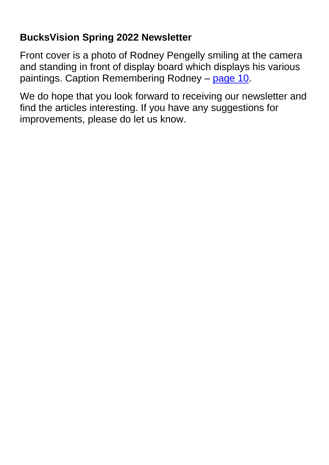## **BucksVision Spring 2022 Newsletter**

Front cover is a photo of Rodney Pengelly smiling at the camera and standing in front of display board which displays his various paintings. Caption Remembering Rodney – page 10.

We do hope that you look forward to receiving our newsletter and find the articles interesting. If you have any suggestions for improvements, please do let us know.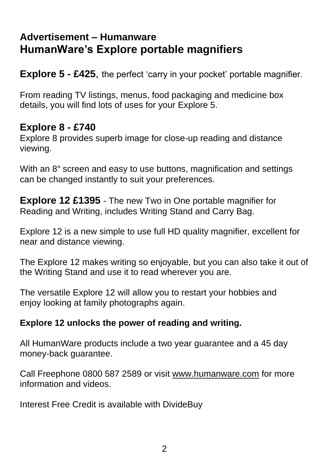### <span id="page-1-0"></span>**Advertisement – Humanware HumanWare's Explore portable magnifiers**

**Explore 5 - £425**, the perfect 'carry in your pocket' portable magnifier.

From reading TV listings, menus, food packaging and medicine box details, you will find lots of uses for your Explore 5.

#### **Explore 8 - £740**

Explore 8 provides superb image for close-up reading and distance viewing.

With an 8" screen and easy to use buttons, magnification and settings can be changed instantly to suit your preferences.

**Explore 12 £1395** - The new Two in One portable magnifier for Reading and Writing, includes Writing Stand and Carry Bag.

Explore 12 is a new simple to use full HD quality magnifier, excellent for near and distance viewing.

The Explore 12 makes writing so enjoyable, but you can also take it out of the Writing Stand and use it to read wherever you are.

The versatile Explore 12 will allow you to restart your hobbies and enjoy looking at family photographs again.

#### **Explore 12 unlocks the power of reading and writing.**

All HumanWare products include a two year guarantee and a 45 day money-back guarantee.

Call Freephone 0800 587 2589 or visit [www.humanware.com](http://www.humanware.com/) for more information and videos.

Interest Free Credit is available with DivideBuy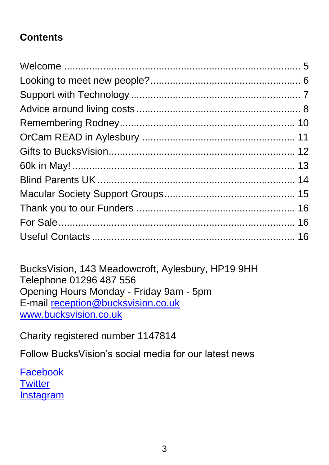# **Contents**

BucksVision, 143 Meadowcroft, Aylesbury, HP19 9HH Telephone 01296 487 556 Opening Hours Monday - Friday 9am - 5pm E-mail [reception@bucksvision.co.uk](mailto:reception@bucksvision.co.uk) [www.bucksvision.co.uk](http://www.bucksvision.co.uk/)

Charity registered number 1147814

Follow BucksVision's social media for our latest news

**[Facebook](http://www.facebook.com/bucksvision) [Twitter](http://www.twitter.com/bucksvision)** [Instagram](http://www.instagram.com/bucksvision143)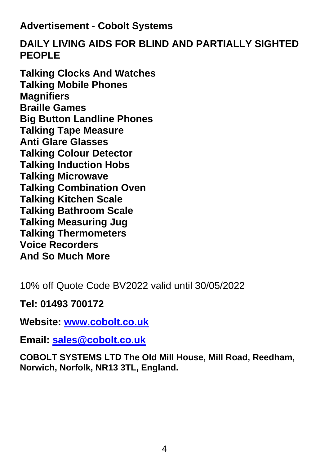#### **Advertisement - Cobolt Systems**

#### **DAILY LIVING AIDS FOR BLIND AND PARTIALLY SIGHTED PEOPLE**

**Talking Clocks And Watches Talking Mobile Phones Magnifiers Braille Games Big Button Landline Phones Talking Tape Measure Anti Glare Glasses Talking Colour Detector Talking Induction Hobs Talking Microwave Talking Combination Oven Talking Kitchen Scale Talking Bathroom Scale Talking Measuring Jug Talking Thermometers Voice Recorders And So Much More**

10% off Quote Code BV2022 valid until 30/05/2022

**Tel: 01493 700172** 

**Website: www.cobolt.co.uk** 

**Email: [sales@cobolt.co.uk](mailto:sales@cobolt.co.uk)**

**COBOLT SYSTEMS LTD The Old Mill House, Mill Road, Reedham, Norwich, Norfolk, NR13 3TL, England.**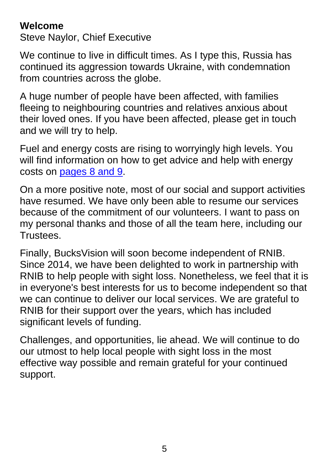### <span id="page-4-0"></span>**Welcome**

Steve Naylor, Chief Executive

We continue to live in difficult times. As I type this, Russia has continued its aggression towards Ukraine, with condemnation from countries across the globe.

A huge number of people have been affected, with families fleeing to neighbouring countries and relatives anxious about their loved ones. If you have been affected, please get in touch and we will try to help.

Fuel and energy costs are rising to worryingly high levels. You will find information on how to get advice and help with energy costs on [pages 8 and 9.](#page-7-0)

On a more positive note, most of our social and support activities have resumed. We have only been able to resume our services because of the commitment of our volunteers. I want to pass on my personal thanks and those of all the team here, including our Trustees.

Finally, BucksVision will soon become independent of RNIB. Since 2014, we have been delighted to work in partnership with RNIB to help people with sight loss. Nonetheless, we feel that it is in everyone's best interests for us to become independent so that we can continue to deliver our local services. We are grateful to RNIB for their support over the years, which has included significant levels of funding.

Challenges, and opportunities, lie ahead. We will continue to do our utmost to help local people with sight loss in the most effective way possible and remain grateful for your continued support.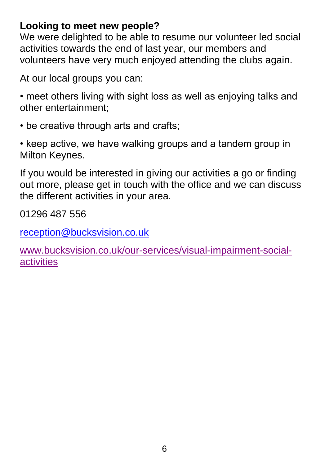#### <span id="page-5-0"></span>**Looking to meet new people?**

We were delighted to be able to resume our volunteer led social activities towards the end of last year, our members and volunteers have very much enjoyed attending the clubs again.

At our local groups you can:

• meet others living with sight loss as well as enjoying talks and other entertainment;

• be creative through arts and crafts;

• keep active, we have walking groups and a tandem group in Milton Keynes.

If you would be interested in giving our activities a go or finding out more, please get in touch with the office and we can discuss the different activities in your area.

01296 487 556

[reception@bucksvision.co.uk](mailto:reception@bucksvision.co.uk)

[www.bucksvision.co.uk/our-services/visual-impairment-social](http://www.bucksvision.co.uk/our-services/visual-impairment-social-activities)[activities](http://www.bucksvision.co.uk/our-services/visual-impairment-social-activities)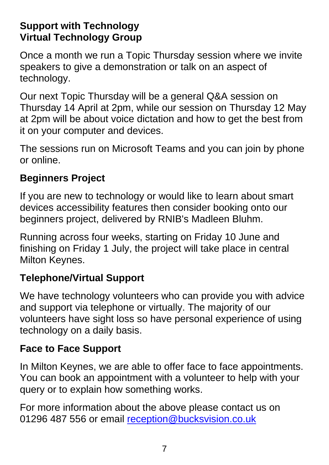### <span id="page-6-0"></span>**Support with Technology Virtual Technology Group**

Once a month we run a Topic Thursday session where we invite speakers to give a demonstration or talk on an aspect of technology.

Our next Topic Thursday will be a general Q&A session on Thursday 14 April at 2pm, while our session on Thursday 12 May at 2pm will be about voice dictation and how to get the best from it on your computer and devices.

The sessions run on Microsoft Teams and you can join by phone or online.

### **Beginners Project**

If you are new to technology or would like to learn about smart devices accessibility features then consider booking onto our beginners project, delivered by RNIB's Madleen Bluhm.

Running across four weeks, starting on Friday 10 June and finishing on Friday 1 July, the project will take place in central Milton Keynes.

## **Telephone/Virtual Support**

We have technology volunteers who can provide you with advice and support via telephone or virtually. The majority of our volunteers have sight loss so have personal experience of using technology on a daily basis.

## **Face to Face Support**

In Milton Keynes, we are able to offer face to face appointments. You can book an appointment with a volunteer to help with your query or to explain how something works.

For more information about the above please contact us on 01296 487 556 or email [reception@bucksvision.co.uk](mailto:reception@bucksvision.co.uk)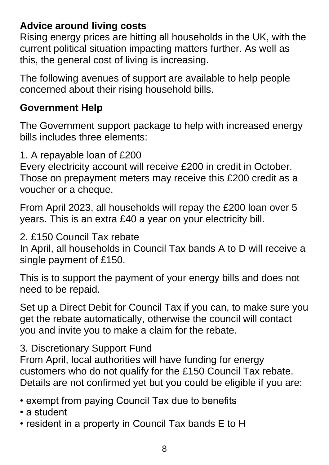## <span id="page-7-0"></span>**Advice around living costs**

Rising energy prices are hitting all households in the UK, with the current political situation impacting matters further. As well as this, the general cost of living is increasing.

The following avenues of support are available to help people concerned about their rising household bills.

### **Government Help**

The Government support package to help with increased energy bills includes three elements:

1. A repayable loan of £200

Every electricity account will receive £200 in credit in October. Those on prepayment meters may receive this £200 credit as a voucher or a cheque.

From April 2023, all households will repay the £200 loan over 5 years. This is an extra £40 a year on your electricity bill.

2. £150 Council Tax rebate

In April, all households in Council Tax bands A to D will receive a single payment of £150.

This is to support the payment of your energy bills and does not need to be repaid.

Set up a Direct Debit for Council Tax if you can, to make sure you get the rebate automatically, otherwise the council will contact you and invite you to make a claim for the rebate.

3. Discretionary Support Fund

From April, local authorities will have funding for energy customers who do not qualify for the £150 Council Tax rebate. Details are not confirmed yet but you could be eligible if you are:

- exempt from paying Council Tax due to benefits
- a student
- resident in a property in Council Tax bands E to H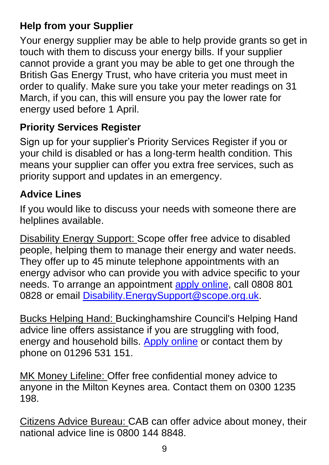# **Help from your Supplier**

Your energy supplier may be able to help provide grants so get in touch with them to discuss your energy bills. If your supplier cannot provide a grant you may be able to get one through the British Gas Energy Trust, who have criteria you must meet in order to qualify. Make sure you take your meter readings on 31 March, if you can, this will ensure you pay the lower rate for energy used before 1 April.

### **Priority Services Register**

Sign up for your supplier's Priority Services Register if you or your child is disabled or has a long-term health condition. This means your supplier can offer you extra free services, such as priority support and updates in an emergency.

### **Advice Lines**

If you would like to discuss your needs with someone there are helplines available.

Disability Energy Support: Scope offer free advice to disabled people, helping them to manage their energy and water needs. They offer up to 45 minute telephone appointments with an energy advisor who can provide you with advice specific to your needs. To arrange an appointment [apply online,](https://www.scope.org.uk/disability-energy-support/eligibility-check/) call 0808 801 0828 or email [Disability.EnergySupport@scope.org.uk.](mailto:Disability.EnergySupport@scope.org.uk)

Bucks Helping Hand: Buckinghamshire Council's Helping Hand advice line offers assistance if you are struggling with food, energy and household bills. [Apply online](https://account.buckscc.gov.uk/service/Helping_hand) or contact them by phone on 01296 531 151.

MK Money Lifeline: Offer free confidential money advice to anyone in the Milton Keynes area. Contact them on 0300 1235 198.

Citizens Advice Bureau: CAB can offer advice about money, their national advice line is 0800 144 8848.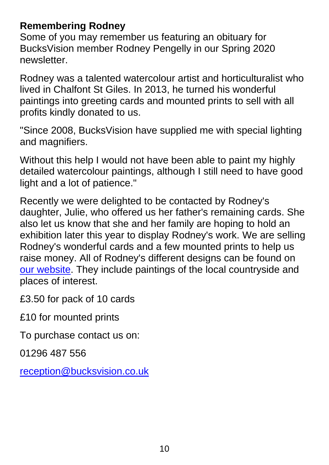### <span id="page-9-0"></span>**Remembering Rodney**

Some of you may remember us featuring an obituary for BucksVision member Rodney Pengelly in our Spring 2020 newsletter.

Rodney was a talented watercolour artist and horticulturalist who lived in Chalfont St Giles. In 2013, he turned his wonderful paintings into greeting cards and mounted prints to sell with all profits kindly donated to us.

"Since 2008, BucksVision have supplied me with special lighting and magnifiers.

Without this help I would not have been able to paint my highly detailed watercolour paintings, although I still need to have good light and a lot of patience."

Recently we were delighted to be contacted by Rodney's daughter, Julie, who offered us her father's remaining cards. She also let us know that she and her family are hoping to hold an exhibition later this year to display Rodney's work. We are selling Rodney's wonderful cards and a few mounted prints to help us raise money. All of Rodney's different designs can be found on [our website.](https://bucksvision.co.uk/support/rodneyscards) They include paintings of the local countryside and places of interest.

£3.50 for pack of 10 cards

£10 for mounted prints

To purchase contact us on:

01296 487 556

[reception@bucksvision.co.uk](mailto:reception@bucksvision.co.uk)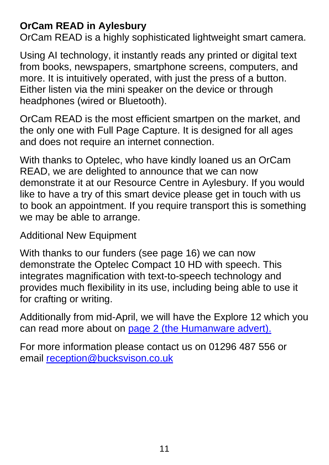### <span id="page-10-0"></span>**OrCam READ in Aylesbury**

OrCam READ is a highly sophisticated lightweight smart camera.

Using AI technology, it instantly reads any printed or digital text from books, newspapers, smartphone screens, computers, and more. It is intuitively operated, with just the press of a button. Either listen via the mini speaker on the device or through headphones (wired or Bluetooth).

OrCam READ is the most efficient smartpen on the market, and the only one with Full Page Capture. It is designed for all ages and does not require an internet connection.

With thanks to Optelec, who have kindly loaned us an OrCam READ, we are delighted to announce that we can now demonstrate it at our Resource Centre in Aylesbury. If you would like to have a try of this smart device please get in touch with us to book an appointment. If you require transport this is something we may be able to arrange.

Additional New Equipment

With thanks to our funders (see page 16) we can now demonstrate the Optelec Compact 10 HD with speech. This integrates magnification with text-to-speech technology and provides much flexibility in its use, including being able to use it for crafting or writing.

Additionally from mid-April, we will have the Explore 12 which you can read more about on [page 2 \(the Humanware advert\).](#page-1-0)

For more information please contact us on 01296 487 556 or email [reception@bucksvison.co.uk](mailto:reception@bucksvison.co.uk)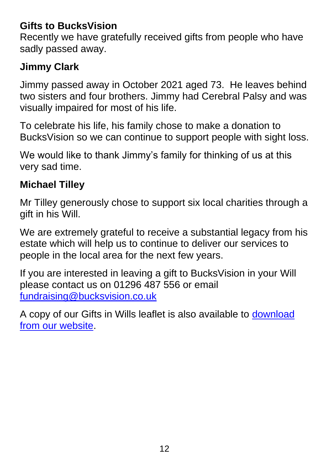### <span id="page-11-0"></span>**Gifts to BucksVision**

Recently we have gratefully received gifts from people who have sadly passed away.

# **Jimmy Clark**

Jimmy passed away in October 2021 aged 73. He leaves behind two sisters and four brothers. Jimmy had Cerebral Palsy and was visually impaired for most of his life.

To celebrate his life, his family chose to make a donation to BucksVision so we can continue to support people with sight loss.

We would like to thank Jimmy's family for thinking of us at this very sad time.

### **Michael Tilley**

Mr Tilley generously chose to support six local charities through a gift in his Will.

We are extremely grateful to receive a substantial legacy from his estate which will help us to continue to deliver our services to people in the local area for the next few years.

If you are interested in leaving a gift to BucksVision in your Will please contact us on 01296 487 556 or email [fundraising@bucksvision.co.uk](mailto:fundraising@bucksvision.co.uk)

A copy of our Gifts in Wills leaflet is also available to [download](https://bucksvision.co.uk/support/Donate-to-us/Leave-a-Legacy)  [from our website.](https://bucksvision.co.uk/support/Donate-to-us/Leave-a-Legacy)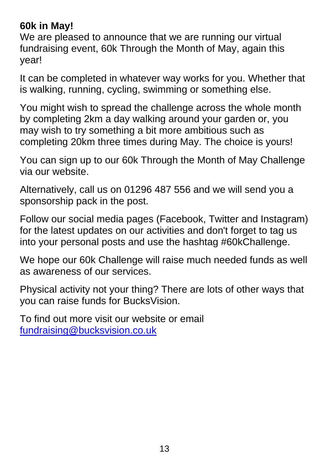### <span id="page-12-0"></span>**60k in May!**

We are pleased to announce that we are running our virtual fundraising event, 60k Through the Month of May, again this year!

It can be completed in whatever way works for you. Whether that is walking, running, cycling, swimming or something else.

You might wish to spread the challenge across the whole month by completing 2km a day walking around your garden or, you may wish to try something a bit more ambitious such as completing 20km three times during May. The choice is yours!

You can sign up to our 60k Through the Month of May Challenge via our website.

Alternatively, call us on 01296 487 556 and we will send you a sponsorship pack in the post.

Follow our social media pages (Facebook, Twitter and Instagram) for the latest updates on our activities and don't forget to tag us into your personal posts and use the hashtag #60kChallenge.

We hope our 60k Challenge will raise much needed funds as well as awareness of our services.

Physical activity not your thing? There are lots of other ways that you can raise funds for BucksVision.

To find out more visit our website or email [fundraising@bucksvision.co.uk](mailto:fundraising@bucksvision.co.uk)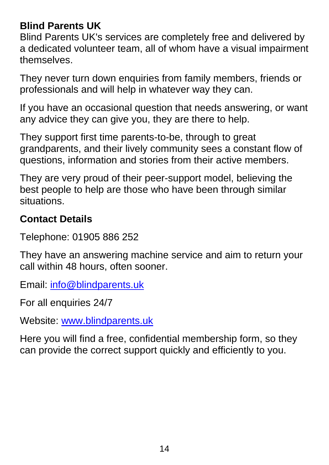## <span id="page-13-0"></span>**Blind Parents UK**

Blind Parents UK's services are completely free and delivered by a dedicated volunteer team, all of whom have a visual impairment themselves.

They never turn down enquiries from family members, friends or professionals and will help in whatever way they can.

If you have an occasional question that needs answering, or want any advice they can give you, they are there to help.

They support first time parents-to-be, through to great grandparents, and their lively community sees a constant flow of questions, information and stories from their active members.

They are very proud of their peer-support model, believing the best people to help are those who have been through similar situations.

#### **Contact Details**

Telephone: 01905 886 252

They have an answering machine service and aim to return your call within 48 hours, often sooner.

Email: [info@blindparents.uk](mailto:info@blindparents.uk)

For all enquiries 24/7

Website: [www.blindparents.uk](http://www.blindparents.uk/) 

Here you will find a free, confidential membership form, so they can provide the correct support quickly and efficiently to you.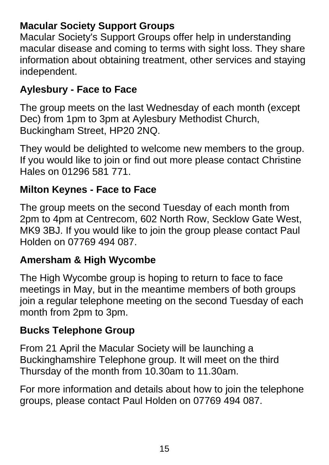### <span id="page-14-0"></span>**Macular Society Support Groups**

Macular Society's Support Groups offer help in understanding macular disease and coming to terms with sight loss. They share information about obtaining treatment, other services and staying independent.

### **Aylesbury - Face to Face**

The group meets on the last Wednesday of each month (except Dec) from 1pm to 3pm at Aylesbury Methodist Church, Buckingham Street, HP20 2NQ.

They would be delighted to welcome new members to the group. If you would like to join or find out more please contact Christine Hales on 01296 581 771.

### **Milton Keynes - Face to Face**

The group meets on the second Tuesday of each month from 2pm to 4pm at Centrecom, 602 North Row, Secklow Gate West, MK9 3BJ. If you would like to join the group please contact Paul Holden on 07769 494 087.

### **Amersham & High Wycombe**

The High Wycombe group is hoping to return to face to face meetings in May, but in the meantime members of both groups join a regular telephone meeting on the second Tuesday of each month from 2pm to 3pm.

#### **Bucks Telephone Group**

From 21 April the Macular Society will be launching a Buckinghamshire Telephone group. It will meet on the third Thursday of the month from 10.30am to 11.30am.

For more information and details about how to join the telephone groups, please contact Paul Holden on 07769 494 087.